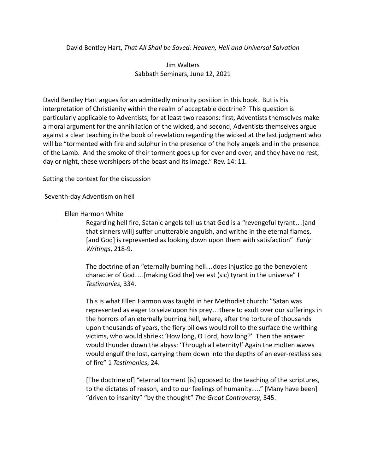## David Bentley Hart, *That All Shall be Saved: Heaven, Hell and Universal Salvation*

Jim Walters Sabbath Seminars, June 12, 2021

David Bentley Hart argues for an admittedly minority position in this book. But is his interpretation of Christianity within the realm of acceptable doctrine? This question is particularly applicable to Adventists, for at least two reasons: first, Adventists themselves make a moral argument for the annihilation of the wicked, and second, Adventists themselves argue against a clear teaching in the book of revelation regarding the wicked at the last judgment who will be "tormented with fire and sulphur in the presence of the holy angels and in the presence of the Lamb. And the smoke of their torment goes up for ever and ever; and they have no rest, day or night, these worshipers of the beast and its image." Rev. 14: 11.

Setting the context for the discussion

Seventh-day Adventism on hell

Ellen Harmon White

Regarding hell fire, Satanic angels tell us that God is a "revengeful tyrant…[and that sinners will] suffer unutterable anguish, and writhe in the eternal flames, [and God] is represented as looking down upon them with satisfaction" *Early Writings*, 218-9.

The doctrine of an "eternally burning hell…does injustice go the benevolent character of God….[making God the] veriest (sic) tyrant in the universe" I *Testimonies*, 334.

This is what Ellen Harmon was taught in her Methodist church: "Satan was represented as eager to seize upon his prey…there to exult over our sufferings in the horrors of an eternally burning hell, where, after the torture of thousands upon thousands of years, the fiery billows would roll to the surface the writhing victims, who would shriek: 'How long, O Lord, how long?' Then the answer would thunder down the abyss: 'Through all eternity!' Again the molten waves would engulf the lost, carrying them down into the depths of an ever-restless sea of fire" 1 *Testimonies*, 24.

[The doctrine of] "eternal torment [is] opposed to the teaching of the scriptures, to the dictates of reason, and to our feelings of humanity…." [Many have been] "driven to insanity" "by the thought" *The Great Controversy*, 545.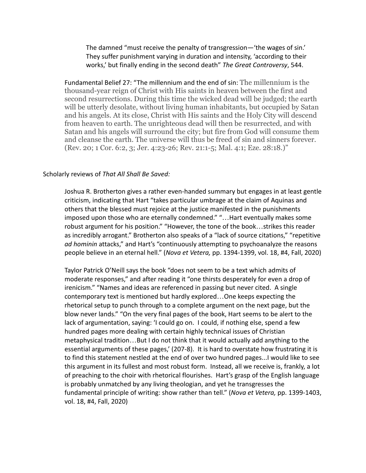The damned "must receive the penalty of transgression—'the wages of sin.' They suffer punishment varying in duration and intensity, 'according to their works,' but finally ending in the second death" *The Great Controversy*, 544.

Fundamental Belief 27: "The millennium and the end of sin: The millennium is the thousand-year reign of Christ with His saints in heaven between the first and second resurrections. During this time the wicked dead will be judged; the earth will be utterly desolate, without living human inhabitants, but occupied by Satan and his angels. At its close, Christ with His saints and the Holy City will descend from heaven to earth. The unrighteous dead will then be resurrected, and with Satan and his angels will surround the city; but fire from God will consume them and cleanse the earth. The universe will thus be freed of sin and sinners forever. (Rev. 20; 1 Cor. 6:2, 3; Jer. 4:23-26; Rev. 21:1-5; Mal. 4:1; Eze. 28:18.)"

## Scholarly reviews of *That All Shall Be Saved:*

Joshua R. Brotherton gives a rather even-handed summary but engages in at least gentle criticism, indicating that Hart "takes particular umbrage at the claim of Aquinas and others that the blessed must rejoice at the justice manifested in the punishments imposed upon those who are eternally condemned." "…Hart eventually makes some robust argument for his position." "However, the tone of the book…strikes this reader as incredibly arrogant." Brotherton also speaks of a "lack of source citations," "repetitive *ad hominin* attacks," and Hart's "continuously attempting to psychoanalyze the reasons people believe in an eternal hell." (*Nova et Vetera,* pp. 1394-1399, vol. 18, #4, Fall, 2020)

Taylor Patrick O'Neill says the book "does not seem to be a text which admits of moderate responses," and after reading it "one thirsts desperately for even a drop of irenicism." "Names and ideas are referenced in passing but never cited. A single contemporary text is mentioned but hardly explored…One keeps expecting the rhetorical setup to punch through to a complete argument on the next page, but the blow never lands." "On the very final pages of the book, Hart seems to be alert to the lack of argumentation, saying: 'I could go on. I could, if nothing else, spend a few hundred pages more dealing with certain highly technical issues of Christian metaphysical tradition…But I do not think that it would actually add anything to the essential arguments of these pages,' (207-8). It is hard to overstate how frustrating it is to find this statement nestled at the end of over two hundred pages...I would like to see this argument in its fullest and most robust form. Instead, all we receive is, frankly, a lot of preaching to the choir with rhetorical flourishes. Hart's grasp of the English language is probably unmatched by any living theologian, and yet he transgresses the fundamental principle of writing: show rather than tell." (*Nova et Vetera,* pp. 1399-1403, vol. 18, #4, Fall, 2020)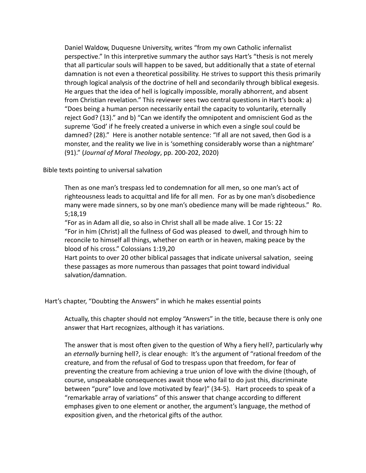Daniel Waldow, Duquesne University, writes "from my own Catholic infernalist perspective." In this interpretive summary the author says Hart's "thesis is not merely that all particular souls will happen to be saved, but additionally that a state of eternal damnation is not even a theoretical possibility. He strives to support this thesis primarily through logical analysis of the doctrine of hell and secondarily through biblical exegesis. He argues that the idea of hell is logically impossible, morally abhorrent, and absent from Christian revelation." This reviewer sees two central questions in Hart's book: a) "Does being a human person necessarily entail the capacity to voluntarily, eternally reject God? (13)." and b) "Can we identify the omnipotent and omniscient God as the supreme 'God' if he freely created a universe in which even a single soul could be damned? (28)." Here is another notable sentence: "If all are not saved, then God is a monster, and the reality we live in is 'something considerably worse than a nightmare' (91)." (*Journal of Moral Theology*, pp. 200-202, 2020)

Bible texts pointing to universal salvation

Then as one man's trespass led to condemnation for all men, so one man's act of righteousness leads to acquittal and life for all men. For as by one man's disobedience many were made sinners, so by one man's obedience many will be made righteous." Ro. 5;18,19

"For as in Adam all die, so also in Christ shall all be made alive. 1 Cor 15: 22 "For in him (Christ) all the fullness of God was pleased to dwell, and through him to reconcile to himself all things, whether on earth or in heaven, making peace by the blood of his cross." Colossians 1:19,20

Hart points to over 20 other biblical passages that indicate universal salvation, seeing these passages as more numerous than passages that point toward individual salvation/damnation.

Hart's chapter, "Doubting the Answers" in which he makes essential points

Actually, this chapter should not employ "Answers" in the title, because there is only one answer that Hart recognizes, although it has variations.

The answer that is most often given to the question of Why a fiery hell?, particularly why an *eternally* burning hell?, is clear enough: It's the argument of "rational freedom of the creature, and from the refusal of God to trespass upon that freedom, for fear of preventing the creature from achieving a true union of love with the divine (though, of course, unspeakable consequences await those who fail to do just this, discriminate between "pure" love and love motivated by fear)" (34-5). Hart proceeds to speak of a "remarkable array of variations" of this answer that change according to different emphases given to one element or another, the argument's language, the method of exposition given, and the rhetorical gifts of the author.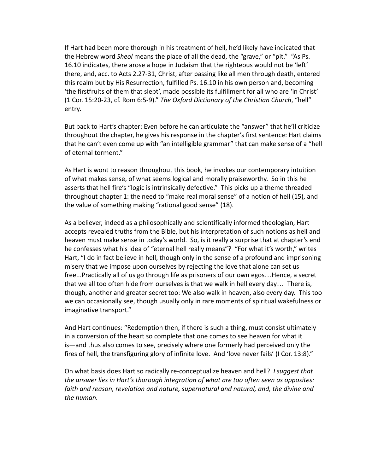If Hart had been more thorough in his treatment of hell, he'd likely have indicated that the Hebrew word *Sheol* means the place of all the dead, the "grave," or "pit." "As Ps. 16.10 indicates, there arose a hope in Judaism that the righteous would not be 'left' there, and, acc. to Acts 2.27-31, Christ, after passing like all men through death, entered this realm but by His Resurrection, fulfilled Ps. 16.10 in his own person and, becoming 'the firstfruits of them that slept', made possible its fulfillment for all who are 'in Christ' (1 Cor. 15:20-23, cf. Rom 6:5-9)." *The Oxford Dictionary of the Christian Church*, "hell" entry.

But back to Hart's chapter: Even before he can articulate the "answer" that he'll criticize throughout the chapter, he gives his response in the chapter's first sentence: Hart claims that he can't even come up with "an intelligible grammar" that can make sense of a "hell of eternal torment."

As Hart is wont to reason throughout this book, he invokes our contemporary intuition of what makes sense, of what seems logical and morally praiseworthy. So in this he asserts that hell fire's "logic is intrinsically defective." This picks up a theme threaded throughout chapter 1: the need to "make real moral sense" of a notion of hell (15), and the value of something making "rational good sense" (18).

As a believer, indeed as a philosophically and scientifically informed theologian, Hart accepts revealed truths from the Bible, but his interpretation of such notions as hell and heaven must make sense in today's world. So, is it really a surprise that at chapter's end he confesses what his idea of "eternal hell really means"? "For what it's worth," writes Hart, "I do in fact believe in hell, though only in the sense of a profound and imprisoning misery that we impose upon ourselves by rejecting the love that alone can set us free...Practically all of us go through life as prisoners of our own egos…Hence, a secret that we all too often hide from ourselves is that we walk in hell every day… There is, though, another and greater secret too: We also walk in heaven, also every day. This too we can occasionally see, though usually only in rare moments of spiritual wakefulness or imaginative transport."

And Hart continues: "Redemption then, if there is such a thing, must consist ultimately in a conversion of the heart so complete that one comes to see heaven for what it is—and thus also comes to see, precisely where one formerly had perceived only the fires of hell, the transfiguring glory of infinite love. And 'love never fails' (I Cor. 13:8)."

On what basis does Hart so radically re-conceptualize heaven and hell? *I suggest that the answer lies in Hart's thorough integration of what are too often seen as opposites: faith and reason, revelation and nature, supernatural and natural, and, the divine and the human.*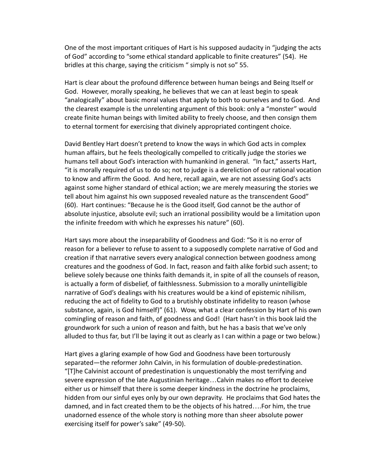One of the most important critiques of Hart is his supposed audacity in "judging the acts of God" according to "some ethical standard applicable to finite creatures" (54). He bridles at this charge, saying the criticism " simply is not so" 55.

Hart is clear about the profound difference between human beings and Being Itself or God. However, morally speaking, he believes that we can at least begin to speak "analogically" about basic moral values that apply to both to ourselves and to God. And the clearest example is the unrelenting argument of this book: only a "monster" would create finite human beings with limited ability to freely choose, and then consign them to eternal torment for exercising that divinely appropriated contingent choice.

David Bentley Hart doesn't pretend to know the ways in which God acts in complex human affairs, but he feels theologically compelled to critically judge the stories we humans tell about God's interaction with humankind in general. "In fact," asserts Hart, "it is morally required of us to do so; not to judge is a dereliction of our rational vocation to know and affirm the Good. And here, recall again, we are not assessing God's acts against some higher standard of ethical action; we are merely measuring the stories we tell about him against his own supposed revealed nature as the transcendent Good" (60). Hart continues: "Because he is the Good itself, God cannot be the author of absolute injustice, absolute evil; such an irrational possibility would be a limitation upon the infinite freedom with which he expresses his nature" (60).

Hart says more about the inseparability of Goodness and God: "So it is no error of reason for a believer to refuse to assent to a supposedly complete narrative of God and creation if that narrative severs every analogical connection between goodness among creatures and the goodness of God. In fact, reason and faith alike forbid such assent; to believe solely because one thinks faith demands it, in spite of all the counsels of reason, is actually a form of disbelief, of faithlessness. Submission to a morally unintelligible narrative of God's dealings with his creatures would be a kind of epistemic nihilism, reducing the act of fidelity to God to a brutishly obstinate infidelity to reason (whose substance, again, is God himself)" (61). Wow, what a clear confession by Hart of his own comingling of reason and faith, of goodness and God! (Hart hasn't in this book laid the groundwork for such a union of reason and faith, but he has a basis that we've only alluded to thus far, but I'll be laying it out as clearly as I can within a page or two below.)

Hart gives a glaring example of how God and Goodness have been torturously separated—the reformer John Calvin, in his formulation of double-predestination. "[T]he Calvinist account of predestination is unquestionably the most terrifying and severe expression of the late Augustinian heritage…Calvin makes no effort to deceive either us or himself that there is some deeper kindness in the doctrine he proclaims, hidden from our sinful eyes only by our own depravity. He proclaims that God hates the damned, and in fact created them to be the objects of his hatred….For him, the true unadorned essence of the whole story is nothing more than sheer absolute power exercising itself for power's sake" (49-50).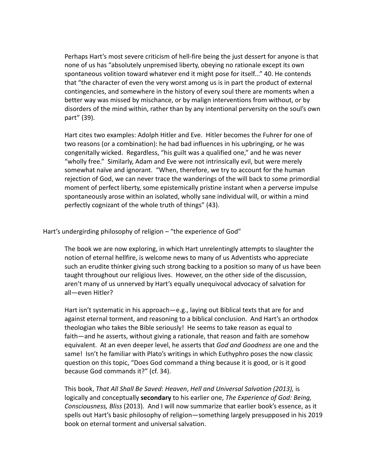Perhaps Hart's most severe criticism of hell-fire being the just dessert for anyone is that none of us has "absolutely unpremised liberty, obeying no rationale except its own spontaneous volition toward whatever end it might pose for itself..." 40. He contends that "the character of even the very worst among us is in part the product of external contingencies, and somewhere in the history of every soul there are moments when a better way was missed by mischance, or by malign interventions from without, or by disorders of the mind within, rather than by any intentional perversity on the soul's own part" (39).

Hart cites two examples: Adolph Hitler and Eve. Hitler becomes the Fuhrer for one of two reasons (or a combination): he had bad influences in his upbringing, or he was congenitally wicked. Regardless, "his guilt was a qualified one," and he was never "wholly free." Similarly, Adam and Eve were not intrinsically evil, but were merely somewhat naïve and ignorant. "When, therefore, we try to account for the human rejection of God, we can never trace the wanderings of the will back to some primordial moment of perfect liberty, some epistemically pristine instant when a perverse impulse spontaneously arose within an isolated, wholly sane individual will, or within a mind perfectly cognizant of the whole truth of things" (43).

Hart's undergirding philosophy of religion – "the experience of God"

The book we are now exploring, in which Hart unrelentingly attempts to slaughter the notion of eternal hellfire, is welcome news to many of us Adventists who appreciate such an erudite thinker giving such strong backing to a position so many of us have been taught throughout our religious lives. However, on the other side of the discussion, aren't many of us unnerved by Hart's equally unequivocal advocacy of salvation for all—even Hitler?

Hart isn't systematic in his approach—e.g., laying out Biblical texts that are for and against eternal torment, and reasoning to a biblical conclusion. And Hart's an orthodox theologian who takes the Bible seriously! He seems to take reason as equal to faith—and he asserts, without giving a rationale, that reason and faith are somehow equivalent. At an even deeper level, he asserts that *God and Goodness* are one and the same! Isn't he familiar with Plato's writings in which Euthyphro poses the now classic question on this topic, "Does God command a thing because it is good, or is it good because God commands it?" (cf. 34).

This book, *That All Shall Be Saved*: *Heaven*, *Hell and Universal Salvation (2013),* is logically and conceptually **secondary** to his earlier one, *The Experience of God: Being, Consciousness, Bliss* (2013). And I will now summarize that earlier book's essence, as it spells out Hart's basic philosophy of religion—something largely presupposed in his 2019 book on eternal torment and universal salvation.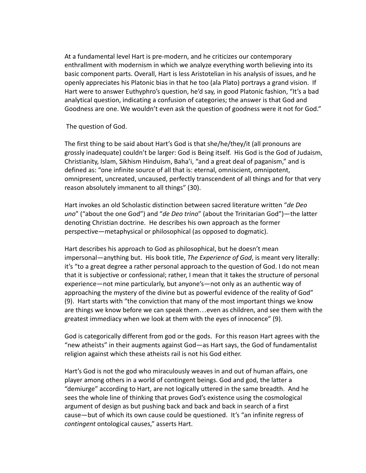At a fundamental level Hart is pre-modern, and he criticizes our contemporary enthrallment with modernism in which we analyze everything worth believing into its basic component parts. Overall, Hart is less Aristotelian in his analysis of issues, and he openly appreciates his Platonic bias in that he too (ala Plato) portrays a grand vision. If Hart were to answer Euthyphro's question, he'd say, in good Platonic fashion, "It's a bad analytical question, indicating a confusion of categories; the answer is that God and Goodness are one. We wouldn't even ask the question of goodness were it not for God."

The question of God.

The first thing to be said about Hart's God is that she/he/they/it (all pronouns are grossly inadequate) couldn't be larger: God is Being itself. His God is the God of Judaism, Christianity, Islam, Sikhism Hinduism, Baha'i, "and a great deal of paganism," and is defined as: "one infinite source of all that is: eternal, omniscient, omnipotent, omnipresent, uncreated, uncaused, perfectly transcendent of all things and for that very reason absolutely immanent to all things" (30).

Hart invokes an old Scholastic distinction between sacred literature written "*de Deo uno*" ("about the one God") and "*de Deo trino*" (about the Trinitarian God")—the latter denoting Christian doctrine. He describes his own approach as the former perspective—metaphysical or philosophical (as opposed to dogmatic).

Hart describes his approach to God as philosophical, but he doesn't mean impersonal—anything but. His book title, *The Experience of God*, is meant very literally: it's "to a great degree a rather personal approach to the question of God. I do not mean that it is subjective or confessional; rather, I mean that it takes the structure of personal experience—not mine particularly, but anyone's—not only as an authentic way of approaching the mystery of the divine but as powerful evidence of the reality of God" (9). Hart starts with "the conviction that many of the most important things we know are things we know before we can speak them…even as children, and see them with the greatest immediacy when we look at them with the eyes of innocence" (9).

God is categorically different from god or the gods. For this reason Hart agrees with the "new atheists" in their augments against God—as Hart says, the God of fundamentalist religion against which these atheists rail is not his God either.

Hart's God is not the god who miraculously weaves in and out of human affairs, one player among others in a world of contingent beings. God and god, the latter a "demiurge" according to Hart, are not logically uttered in the same breadth. And he sees the whole line of thinking that proves God's existence using the cosmological argument of design as but pushing back and back and back in search of a first cause—but of which its own cause could be questioned. It's "an infinite regress of *contingent* ontological causes," asserts Hart.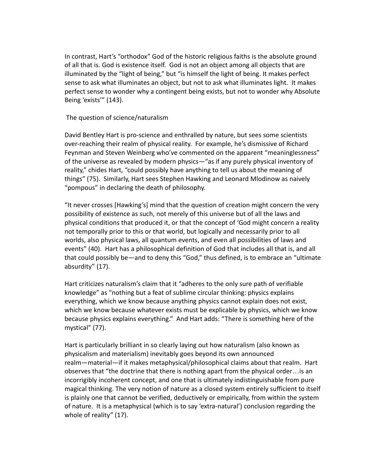In contrast, Hart's "orthodox" God of the historic religious faiths is the absolute ground of all that is. God is existence itself. God is not an object among all objects that are illuminated by the "light of being," but "is himself the light of being. It makes perfect sense to ask what illuminates an object, but not to ask what illuminates light. It makes perfect sense to wonder why a contingent being exists, but not to wonder why Absolute Being 'exists'" (143).

## The question of science/naturalism

David Bentley Hart is pro-science and enthralled by nature, but sees some scientists over-reaching their realm of physical reality. For example, he's dismissive of Richard Feynman and Steven Weinberg who've commented on the apparent "meaninglessness" of the universe as revealed by modern physics—"as if any purely physical inventory of reality," chides Hart, "could possibly have anything to tell us about the meaning of things" (75). Similarly, Hart sees Stephen Hawking and Leonard Mlodinow as naively "pompous" in declaring the death of philosophy.

"It never crosses [Hawking's] mind that the question of creation might concern the very possibility of existence as such, not merely of this universe but of all the laws and physical conditions that produced it, or that the concept of 'God might concern a reality not temporally prior to this or that world, but logically and necessarily prior to all worlds, also physical laws, all quantum events, and even all possibilities of laws and events" (40). Hart has a philosophical definition of God that includes all that is, and all that could possibly be—and to deny this "God," thus defined, is to embrace an "ultimate absurdity" (17).

Hart criticizes naturalism's claim that it "adheres to the only sure path of verifiable knowledge" as "nothing but a feat of sublime circular thinking: physics explains everything, which we know because anything physics cannot explain does not exist, which we know because whatever exists must be explicable by physics, which we know because physics explains everything." And Hart adds: "There is something here of the mystical" (77).

Hart is particularly brilliant in so clearly laying out how naturalism (also known as physicalism and materialism) inevitably goes beyond its own announced realm—material—if it makes metaphysical/philosophical claims about that realm. Hart observes that "the doctrine that there is nothing apart from the physical order…is an incorrigibly incoherent concept, and one that is ultimately indistinguishable from pure magical thinking. The very notion of nature as a closed system entirely sufficient to itself is plainly one that cannot be verified, deductively or empirically, from within the system of nature. It is a metaphysical (which is to say 'extra-natural') conclusion regarding the whole of reality" (17).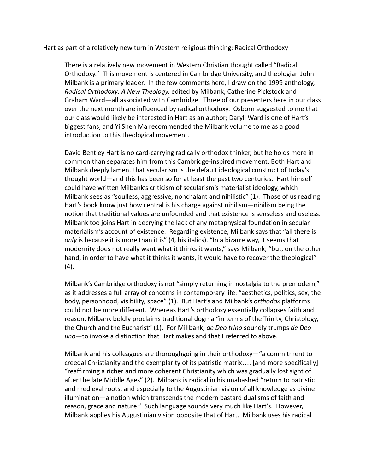Hart as part of a relatively new turn in Western religious thinking: Radical Orthodoxy

There is a relatively new movement in Western Christian thought called "Radical Orthodoxy." This movement is centered in Cambridge University, and theologian John Milbank is a primary leader. In the few comments here, I draw on the 1999 anthology, *Radical Orthodoxy: A New Theology,* edited by Milbank, Catherine Pickstock and Graham Ward—all associated with Cambridge. Three of our presenters here in our class over the next month are influenced by radical orthodoxy. Osborn suggested to me that our class would likely be interested in Hart as an author; Daryll Ward is one of Hart's biggest fans, and Yi Shen Ma recommended the Milbank volume to me as a good introduction to this theological movement.

David Bentley Hart is no card-carrying radically orthodox thinker, but he holds more in common than separates him from this Cambridge-inspired movement. Both Hart and Milbank deeply lament that secularism is the default ideological construct of today's thought world—and this has been so for at least the past two centuries. Hart himself could have written Milbank's criticism of secularism's materialist ideology, which Milbank sees as "soulless, aggressive, nonchalant and nihilistic" (1). Those of us reading Hart's book know just how central is his charge against nihilism—nihilism being the notion that traditional values are unfounded and that existence is senseless and useless. Milbank too joins Hart in decrying the lack of any metaphysical foundation in secular materialism's account of existence. Regarding existence, Milbank says that "all there is *only* is because it is more than it is" (4, his italics). "In a bizarre way, it seems that modernity does not really want what it thinks it wants," says Milbank; "but, on the other hand, in order to have what it thinks it wants, it would have to recover the theological" (4).

Milbank's Cambridge orthodoxy is not "simply returning in nostalgia to the premodern," as it addresses a full array of concerns in contemporary life: "aesthetics, politics, sex, the body, personhood, visibility, space" (1). But Hart's and Milbank's *orthodox* platforms could not be more different. Whereas Hart's orthodoxy essentially collapses faith and reason, Milbank boldly proclaims traditional dogma "in terms of the Trinity, Christology, the Church and the Eucharist" (1). For Millbank, *de Deo trino* soundly trumps *de Deo uno—*to invoke a distinction that Hart makes and that I referred to above.

Milbank and his colleagues are thoroughgoing in their orthodoxy—"a commitment to creedal Christianity and the exemplarity of its patristic matrix…. [and more specifically] "reaffirming a richer and more coherent Christianity which was gradually lost sight of after the late Middle Ages" (2). Milbank is radical in his unabashed "return to patristic and medieval roots, and especially to the Augustinian vision of all knowledge as divine illumination—a notion which transcends the modern bastard dualisms of faith and reason, grace and nature." Such language sounds very much like Hart's. However, Milbank applies his Augustinian vision opposite that of Hart. Milbank uses his radical